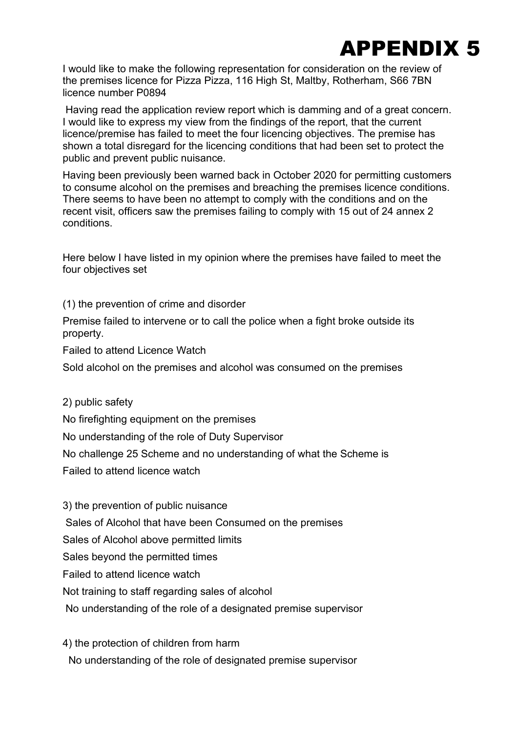

I would like to make the following representation for consideration on the review of the premises licence for Pizza Pizza, 116 High St, Maltby, Rotherham, S66 7BN licence number P0894

Having read the application review report which is damming and of a great concern. I would like to express my view from the findings of the report, that the current licence/premise has failed to meet the four licencing objectives. The premise has shown a total disregard for the licencing conditions that had been set to protect the public and prevent public nuisance.

Having been previously been warned back in October 2020 for permitting customers to consume alcohol on the premises and breaching the premises licence conditions. There seems to have been no attempt to comply with the conditions and on the recent visit, officers saw the premises failing to comply with 15 out of 24 annex 2 conditions.

Here below I have listed in my opinion where the premises have failed to meet the four objectives set

(1) the prevention of crime and disorder

Premise failed to intervene or to call the police when a fight broke outside its property.

Failed to attend Licence Watch

Sold alcohol on the premises and alcohol was consumed on the premises

2) public safety

No firefighting equipment on the premises

No understanding of the role of Duty Supervisor

No challenge 25 Scheme and no understanding of what the Scheme is

Failed to attend licence watch

3) the prevention of public nuisance Sales of Alcohol that have been Consumed on the premises Sales of Alcohol above permitted limits Sales beyond the permitted times Failed to attend licence watch Not training to staff regarding sales of alcohol No understanding of the role of a designated premise supervisor

4) the protection of children from harm

No understanding of the role of designated premise supervisor